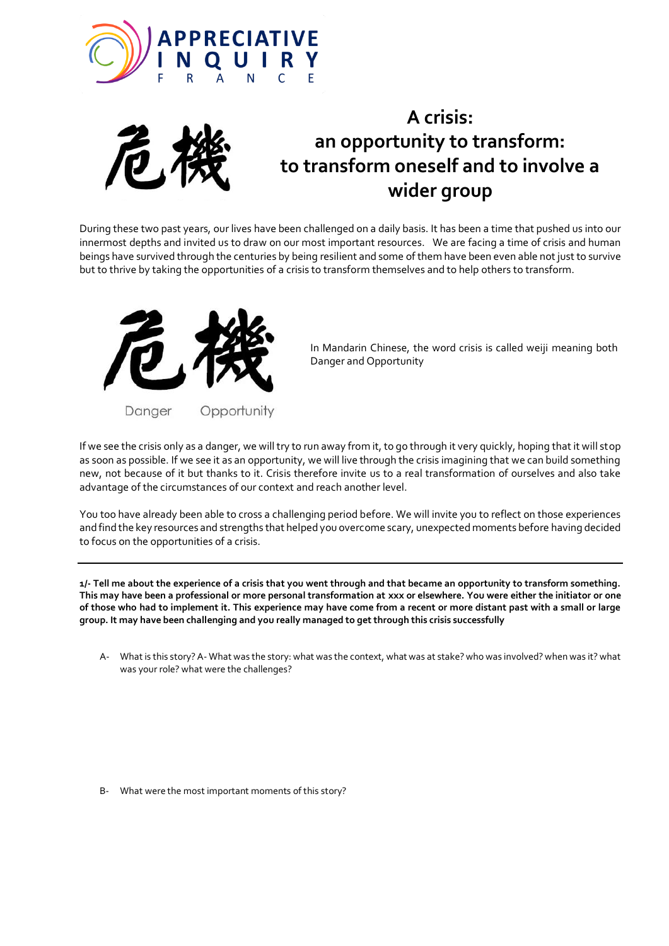



## **A crisis: an opportunity to transform: to transform oneself and to involve a wider group**

During these two past years, our lives have been challenged on a daily basis. It has been a time that pushed us into our<br> innermost depths and invited us to draw on our most important resources. We are facing a time of crisis and human beings have survived through the centuries by being resilient and some of them have been even able not just to survive but to thrive by taking the opportunities of a crisis to transform themselves and to help others to transform.



In Mandarin Chinese, the word crisis is called weiji meaning both Danger and Opportunity

If we see the crisis only as a danger, we will try to run away from it, to go through it very quickly, hoping that it will stop as soon as possible. If we see it as an opportunity, we will live through the crisis imagining that we can build something new, not because of it but thanks to it. Crisis therefore invite us to a real transformation of ourselves and also take advantage of the circumstances of our context and reach another level.

You too have already been able to cross a challenging period before. We will invite you to reflect on those experiences and find the key resources and strengths that helped you overcome scary, unexpected moments before having decided to focus on the opportunities of a crisis.

**1/- Tell me about the experience of a crisis that you went through and that became an opportunity to transform something. This may have been a professional or more personal transformation at xxx or elsewhere. You were either the initiator or one of those who had to implement it. This experience may have come from a recent or more distant past with a small or large group. It may have been challenging and you really managed to get through this crisis successfully** 

A- What is this story? A- What was the story: what was the context, what was at stake? who was involved? when was it? what was your role? what were the challenges?

B- What were the most important moments of this story?